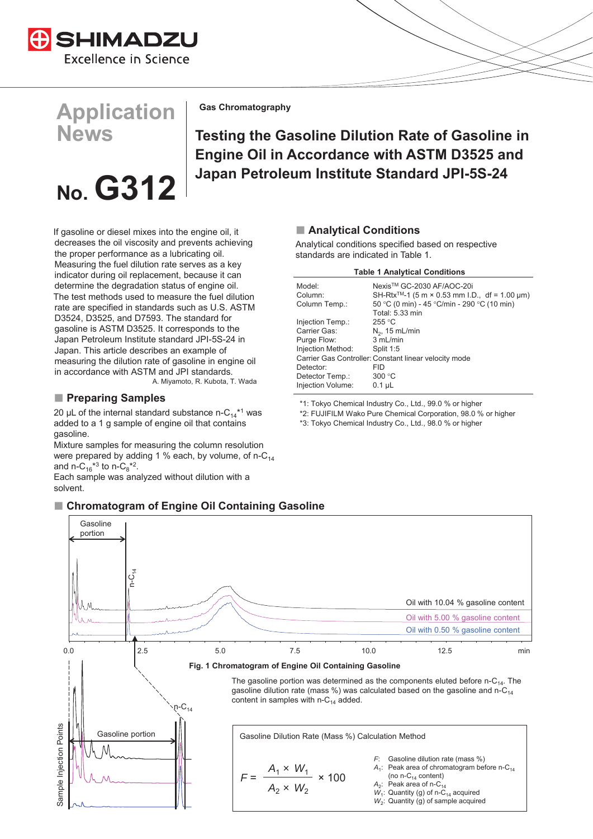

# **Application News**

# **No. G312**

**Gas Chromatography**

## **Testing the Gasoline Dilution Rate of Gasoline in Engine Oil in Accordance with ASTM D3525 and Japan Petroleum Institute Standard JPI-5S-24**

If gasoline or diesel mixes into the engine oil, it decreases the oil viscosity and prevents achieving the proper performance as a lubricating oil. Measuring the fuel dilution rate serves as a key indicator during oil replacement, because it can determine the degradation status of engine oil. The test methods used to measure the fuel dilution rate are specified in standards such as U.S. ASTM D3524, D3525, and D7593. The standard for gasoline is ASTM D3525. It corresponds to the Japan Petroleum Institute standard JPI-5S-24 in Japan. This article describes an example of measuring the dilution rate of gasoline in engine oil in accordance with ASTM and JPI standards. A. Miyamoto, R. Kubota, T. Wada

### **Preparing Samples**

20 µL of the internal standard substance n-C<sub>14</sub><sup>\*1</sup> was added to a 1 g sample of engine oil that contains gasoline.

Mixture samples for measuring the column resolution were prepared by adding 1 % each, by volume, of  $n-C_{14}$ and n-C<sub>16</sub><sup>\*3</sup> to n-C<sub>8</sub><sup>\*2</sup>.

Each sample was analyzed without dilution with a solvent.

## **Analytical Conditions**

Analytical conditions specified based on respective standards are indicated in Table 1.

#### **Table 1 Analytical Conditions**

| Model:            | Nexis™ GC-2030 AF/AOC-20i                                 |
|-------------------|-----------------------------------------------------------|
| Column:           | SH-Rtx <sup>™</sup> -1 (5 m × 0.53 mm l.D., df = 1.00 µm) |
| Column Temp.:     | 50 °C (0 min) - 45 °C/min - 290 °C (10 min)               |
|                   | Total: 5.33 min                                           |
| Injection Temp.:  | 255 °C                                                    |
| Carrier Gas:      | $N_2$ , 15 mL/min                                         |
| Purge Flow:       | 3 mL/min                                                  |
| Injection Method: | Split 1:5                                                 |
|                   | Carrier Gas Controller: Constant linear velocity mode     |
| Detector:         | FID                                                       |
| Detector Temp.:   | 300 °C                                                    |
| Injection Volume: | $0.1$ uL                                                  |
|                   |                                                           |

\*1: Tokyo Chemical Industry Co., Ltd., 99.0 % or higher

\*2: FUJIFILM Wako Pure Chemical Corporation, 98.0 % or higher

\*3: Tokyo Chemical Industry Co., Ltd., 98.0 % or higher